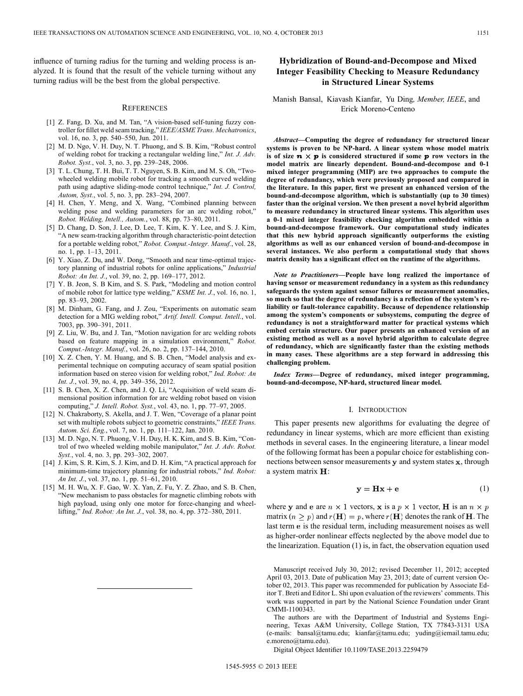influence of turning radius for the turning and welding process is analyzed. It is found that the result of the vehicle turning without any turning radius will be the best from the global perspective.

#### **REFERENCES**

- [1] Z. Fang, D. Xu, and M. Tan, "A vision-based self-tuning fuzzy controller for fillet weld seam tracking," *IEEE/ASME Trans. Mechatronics*, vol. 16, no. 3, pp. 540–550, Jun. 2011.
- [2] M. D. Ngo, V. H. Duy, N. T. Phuong, and S. B. Kim, "Robust control of welding robot for tracking a rectangular welding line," *Int. J. Adv. Robot. Syst.*, vol. 3, no. 3, pp. 239–248, 2006.
- [3] T. L. Chung, T. H. Bui, T. T. Nguyen, S. B. Kim, and M. S. Oh, "Twowheeled welding mobile robot for tracking a smooth curved welding path using adaptive sliding-mode control technique," *Int. J. Control, Autom, Syst.*, vol. 5, no. 3, pp. 283–294, 2007.
- [4] H. Chen, Y. Meng, and X. Wang, "Combined planning between welding pose and welding parameters for an arc welding robot," *Robot. Welding, Intell., Autom.*, vol. 88, pp. 73–80, 2011.
- [5] D. Chang, D. Son, J. Lee, D. Lee, T. Kim, K. Y. Lee, and S. J. Kim, "A new seam-tracking algorithm through characteristic-point detection for a portable welding robot," *Robot. Comput.-Integr. Manuf.*, vol. 28, no. 1, pp. 1–13, 2011.
- [6] Y. Xiao, Z. Du, and W. Dong, "Smooth and near time-optimal trajectory planning of industrial robots for online applications," *Industrial Robot: An Int. J.*, vol. 39, no. 2, pp. 169–177, 2012.
- [7] Y. B. Jeon, S. B Kim, and S. S. Park, "Modeling and motion control of mobile robot for lattice type welding," *KSME Int. J.*, vol. 16, no. 1, pp. 83–93, 2002.
- [8] M. Dinham, G. Fang, and J. Zou, "Experiments on automatic seam detection for a MIG welding robot," *Artif. Intell. Comput. Intell.*, vol. 7003, pp. 390–391, 2011.
- [9] Z. Liu, W. Bu, and J. Tan, "Motion navigation for arc welding robots based on feature mapping in a simulation environment," *Robot. Comput.-Integr. Manuf.*, vol. 26, no. 2, pp. 137–144, 2010.
- [10] X. Z. Chen, Y. M. Huang, and S. B. Chen, "Model analysis and experimental technique on computing accuracy of seam spatial position information based on stereo vision for welding robot," *Ind. Robot: An Int. J.*, vol. 39, no. 4, pp. 349–356, 2012.
- [11] S. B. Chen, X. Z. Chen, and J. Q. Li, "Acquisition of weld seam dimensional position information for arc welding robot based on vision computing," *J. Intell. Robot. Syst.*, vol. 43, no. 1, pp. 77–97, 2005.
- [12] N. Chakraborty, S. Akella, and J. T. Wen, "Coverage of a planar point set with multiple robots subject to geometric constraints," *IEEE Trans. Autom. Sci. Eng.*, vol. 7, no. 1, pp. 111–122, Jan. 2010.
- [13] M. D. Ngo, N. T. Phuong, V. H. Duy, H. K. Kim, and S. B. Kim, "Control of two wheeled welding mobile manipulator," *Int. J. Adv. Robot. Syst.*, vol. 4, no. 3, pp. 293–302, 2007.
- [14] J. Kim, S. R. Kim, S. J. Kim, and D. H. Kim, "A practical approach for minimum-time trajectory planning for industrial robots," *Ind. Robot: An Int. J.*, vol. 37, no. 1, pp. 51–61, 2010.
- [15] M. H. Wu, X. F. Gao, W. X. Yan, Z. Fu, Y. Z. Zhao, and S. B. Chen, "New mechanism to pass obstacles for magnetic climbing robots with high payload, using only one motor for force-changing and wheellifting," *Ind. Robot: An Int. J.*, vol. 38, no. 4, pp. 372–380, 2011.

# **Hybridization of Bound-and-Decompose and Mixed Integer Feasibility Checking to Measure Redundancy in Structured Linear Systems**

# Manish Bansal, Kiavash Kianfar, Yu Ding*, Member, IEEE*, and Erick Moreno-Centeno

*Abstract—***Computing the degree of redundancy for structured linear systems is proven to be NP-hard. A linear system whose model matrix** is of size  $\boldsymbol{n} \times \boldsymbol{p}$  is considered structured if some  $\boldsymbol{p}$  row vectors in the **model matrix are linearly dependent. Bound-and-decompose and 0-1 mixed integer programming (MIP) are two approaches to compute the degree of redundancy, which were previously proposed and compared in the literature. In this paper, first we present an enhanced version of the bound-and-decompose algorithm, which is substantially (up to 30 times) faster than the original version. We then present a novel hybrid algorithm to measure redundancy in structured linear systems. This algorithm uses a 0-1 mixed integer feasibility checking algorithm embedded within a bound-and-decompose framework. Our computational study indicates that this new hybrid approach significantly outperforms the existing algorithms as well as our enhanced version of bound-and-decompose in several instances. We also perform a computational study that shows matrix density has a significant effect on the runtime of the algorithms.**

*Note to Practitioners***—People have long realized the importance of having sensor or measurement redundancy in a system as this redundancy safeguards the system against sensor failures or measurement anomalies, so much so that the degree of redundancy is a reflection of the system's reliability or fault-tolerance capability. Because of dependence relationship among the system's components or subsystems, computing the degree of redundancy is not a straightforward matter for practical systems which embed certain structure. Our paper presents an enhanced version of an existing method as well as a novel hybrid algorithm to calculate degree of redundancy, which are significantly faster than the existing methods in many cases. These algorithms are a step forward in addressing this challenging problem.**

*Index Terms—***Degree of redundancy, mixed integer programming, bound-and-decompose, NP-hard, structured linear model.**

#### I. INTRODUCTION

This paper presents new algorithms for evaluating the degree of redundancy in linear systems, which are more efficient than existing methods in several cases. In the engineering literature, a linear model of the following format has been a popular choice for establishing connections between sensor measurements  $y$  and system states  $x$ , through a system matrix  $H$ :

$$
y = Hx + e \tag{1}
$$

where y and e are  $n \times 1$  vectors, x is a  $p \times 1$  vector, **H** is an  $n \times p$ matrix ( $n \geq p$ ) and  $r(\mathbf{H}) = p$ , where  $r(\mathbf{H})$  denotes the rank of **H**. The last term e is the residual term, including measurement noises as well as higher-order nonlinear effects neglected by the above model due to the linearization. Equation (1) is, in fact, the observation equation used

Manuscript received July 30, 2012; revised December 11, 2012; accepted April 03, 2013. Date of publication May 23, 2013; date of current version October 02, 2013. This paper was recommended for publication by Associate Editor T. Breti and Editor L. Shi upon evaluation of the reviewers' comments. This work was supported in part by the National Science Foundation under Grant CMMI-1100343.

The authors are with the Department of Industrial and Systems Engineering, Texas A&M University, College Station, TX 77843-3131 USA (e-mails: bansal@tamu.edu; kianfar@tamu.edu; yuding@iemail.tamu.edu; e.moreno@tamu.edu).

Digital Object Identifier 10.1109/TASE.2013.2259479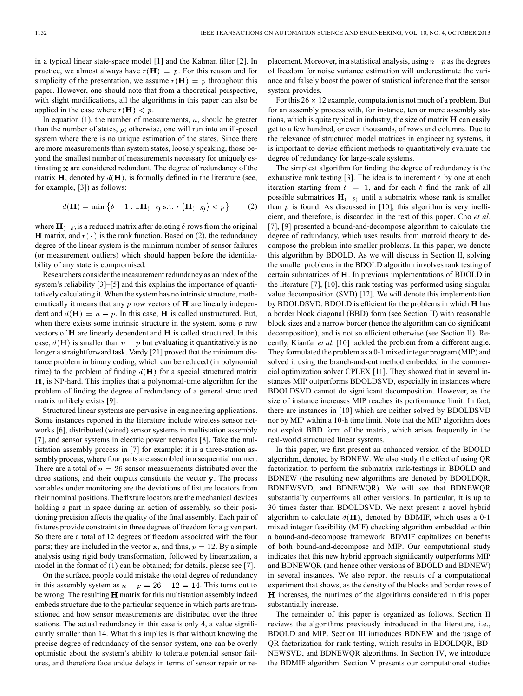in a typical linear state-space model [1] and the Kalman filter [2]. In practice, we almost always have  $r(H) = p$ . For this reason and for simplicity of the presentation, we assume  $r(\mathbf{H}) = p$  throughout this paper. However, one should note that from a theoretical perspective, with slight modifications, all the algorithms in this paper can also be applied in the case where  $r(\mathbf{H}) < p$ .

In equation (1), the number of measurements,  $n$ , should be greater than the number of states,  $p$ ; otherwise, one will run into an ill-posed system where there is no unique estimation of the states. Since there are more measurements than system states, loosely speaking, those beyond the smallest number of measurements necessary for uniquely estimating  $x$  are considered redundant. The degree of redundancy of the matrix  $H$ , denoted by  $d(H)$ , is formally defined in the literature (see, for example, [3]) as follows:

$$
d(\mathbf{H}) = \min \left\{ \delta - 1 : \exists \mathbf{H}_{(-\delta)} \text{ s.t. } r \left( \mathbf{H}_{(-\delta)} \right) < p \right\} \tag{2}
$$

where  $\mathbf{H}_{(-\delta)}$  is a reduced matrix after deleting  $\delta$  rows from the original **H** matrix, and  $r(\cdot)$  is the rank function. Based on (2), the redundancy degree of the linear system is the minimum number of sensor failures (or measurement outliers) which should happen before the identifiability of any state is compromised.

Researchers consider the measurement redundancy as an index of the system's reliability [3]–[5] and this explains the importance of quantitatively calculating it. When the system has no intrinsic structure, mathematically it means that any  $p$  row vectors of  $H$  are linearly independent and  $d(\mathbf{H}) = n - p$ . In this case, **H** is called unstructured. But, when there exists some intrinsic structure in the system, some  $p$  row vectors of  $H$  are linearly dependent and  $H$  is called structured. In this case,  $d(\mathbf{H})$  is smaller than  $n-p$  but evaluating it quantitatively is no longer a straightforward task. Vardy [21] proved that the minimum distance problem in binary coding, which can be reduced (in polynomial time) to the problem of finding  $d(\mathbf{H})$  for a special structured matrix  $H$ , is NP-hard. This implies that a polynomial-time algorithm for the problem of finding the degree of redundancy of a general structured matrix unlikely exists [9].

Structured linear systems are pervasive in engineering applications. Some instances reported in the literature include wireless sensor networks [6], distributed (wired) sensor systems in multistation assembly [7], and sensor systems in electric power networks [8]. Take the multistation assembly process in [7] for example: it is a three-station assembly process, where four parts are assembled in a sequential manner. There are a total of  $n = 26$  sensor measurements distributed over the three stations, and their outputs constitute the vector y. The process variables under monitoring are the deviations of fixture locators from their nominal positions. The fixture locators are the mechanical devices holding a part in space during an action of assembly, so their positioning precision affects the quality of the final assembly. Each pair of fixtures provide constraints in three degrees of freedom for a given part. So there are a total of 12 degrees of freedom associated with the four parts; they are included in the vector x, and thus,  $p = 12$ . By a simple analysis using rigid body transformation, followed by linearization, a model in the format of (1) can be obtained; for details, please see [7].

On the surface, people could mistake the total degree of redundancy in this assembly system as  $n - p = 26 - 12 = 14$ . This turns out to be wrong. The resulting  $H$  matrix for this multistation assembly indeed embeds structure due to the particular sequence in which parts are transitioned and how sensor measurements are distributed over the three stations. The actual redundancy in this case is only 4, a value significantly smaller than 14. What this implies is that without knowing the precise degree of redundancy of the sensor system, one can be overly optimistic about the system's ability to tolerate potential sensor failures, and therefore face undue delays in terms of sensor repair or replacement. Moreover, in a statistical analysis, using  $n-p$  as the degrees of freedom for noise variance estimation will underestimate the variance and falsely boost the power of statistical inference that the sensor system provides.

For this  $26 \times 12$  example, computation is not much of a problem. But for an assembly process with, for instance, ten or more assembly stations, which is quite typical in industry, the size of matrix  $\bf{H}$  can easily get to a few hundred, or even thousands, of rows and columns. Due to the relevance of structured model matrices in engineering systems, it is important to devise efficient methods to quantitatively evaluate the degree of redundancy for large-scale systems.

The simplest algorithm for finding the degree of redundancy is the exhaustive rank testing [3]. The idea is to increment  $\delta$  by one at each iteration starting from  $\delta = 1$ , and for each  $\delta$  find the rank of all possible submatrices  $H_{(-\delta)}$  until a submatrix whose rank is smaller than  $p$  is found. As discussed in [10], this algorithm is very inefficient, and therefore, is discarded in the rest of this paper. Cho *et al.* [7], [9] presented a bound-and-decompose algorithm to calculate the degree of redundancy, which uses results from matroid theory to decompose the problem into smaller problems. In this paper, we denote this algorithm by BDOLD. As we will discuss in Section II, solving the smaller problems in the BDOLD algorithm involves rank testing of certain submatrices of H. In previous implementations of BDOLD in the literature [7], [10], this rank testing was performed using singular value decomposition (SVD) [12]. We will denote this implementation by BDOLDSVD. BDOLD is efficient for the problems in which  $H$  has a border block diagonal (BBD) form (see Section II) with reasonable block sizes and a narrow border (hence the algorithm can do significant decomposition), and is not so efficient otherwise (see Section II). Recently, Kianfar *et al.* [10] tackled the problem from a different angle. They formulated the problem as a 0-1 mixed integer program (MIP) and solved it using the branch-and-cut method embedded in the commercial optimization solver CPLEX [11]. They showed that in several instances MIP outperforms BDOLDSVD, especially in instances where BDOLDSVD cannot do significant decomposition. However, as the size of instance increases MIP reaches its performance limit. In fact, there are instances in [10] which are neither solved by BDOLDSVD nor by MIP within a 10-h time limit. Note that the MIP algorithm does not exploit BBD form of the matrix, which arises frequently in the real-world structured linear systems.

In this paper, we first present an enhanced version of the BDOLD algorithm, denoted by BDNEW. We also study the effect of using QR factorization to perform the submatrix rank-testings in BDOLD and BDNEW (the resulting new algorithms are denoted by BDOLDQR, BDNEWSVD, and BDNEWQR). We will see that BDNEWQR substantially outperforms all other versions. In particular, it is up to 30 times faster than BDOLDSVD. We next present a novel hybrid algorithm to calculate  $d(\mathbf{H})$ , denoted by BDMIF, which uses a 0-1 mixed integer feasibility (MIF) checking algorithm embedded within a bound-and-decompose framework. BDMIF capitalizes on benefits of both bound-and-decompose and MIP. Our computational study indicates that this new hybrid approach significantly outperforms MIP and BDNEWQR (and hence other versions of BDOLD and BDNEW) in several instances. We also report the results of a computational experiment that shows, as the density of the blocks and border rows of H increases, the runtimes of the algorithms considered in this paper substantially increase.

The remainder of this paper is organized as follows. Section II reviews the algorithms previously introduced in the literature, i.e., BDOLD and MIP. Section III introduces BDNEW and the usage of QR factorization for rank testing, which results in BDOLDQR, BD-NEWSVD, and BDNEWQR algorithms. In Section IV, we introduce the BDMIF algorithm. Section V presents our computational studies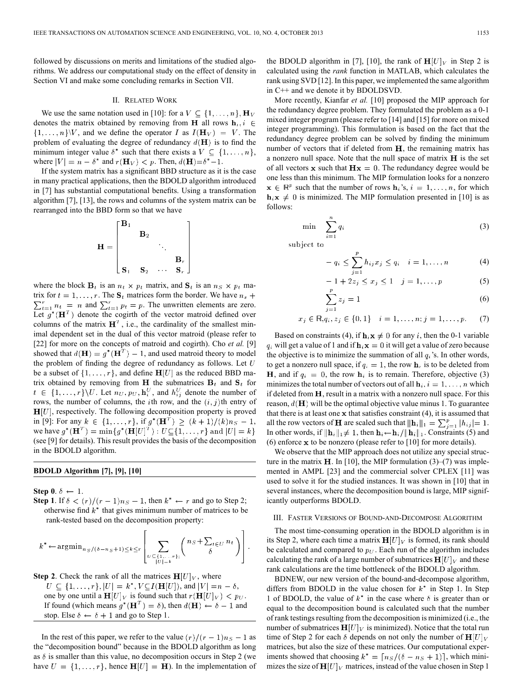followed by discussions on merits and limitations of the studied algorithms. We address our computational study on the effect of density in Section VI and make some concluding remarks in Section VII.

#### II. RELATED WORK

We use the same notation used in [10]: for a  $V \subseteq \{1, \ldots, n\}, \mathbf{H}_V$ denotes the matrix obtained by removing from **H** all rows  $\mathbf{h}_i, i \in$  $\{1, \ldots, n\}$ V, and we define the operator I as  $I(\mathbf{H}_V) = V$ . The problem of evaluating the degree of redundancy  $d(\mathbf{H})$  is to find the minimum integer value  $\delta^*$  such that there exists a  $V \subseteq \{1, \ldots, n\},\$ where  $|V| = n - \delta^*$  and  $r(\mathbf{H}_V) < p$ . Then,  $d(\mathbf{H}) = \delta^* - 1$ .

If the system matrix has a significant BBD structure as it is the case in many practical applications, then the BDOLD algorithm introduced in [7] has substantial computational benefits. Using a transformation algorithm [7], [13], the rows and columns of the system matrix can be rearranged into the BBD form so that we have

$$
\mathbf{H} = \begin{bmatrix} \mathbf{B}_1 & & & \\ & \mathbf{B}_2 & & \\ & & \ddots & \\ & & & \mathbf{B}_r \\ \mathbf{S}_1 & \mathbf{S}_2 & \cdots & \mathbf{S}_r \end{bmatrix}
$$

where the block  $\mathbf{B}_t$  is an  $n_t \times p_t$  matrix, and  $\mathbf{S}_t$  is an  $n_s \times p_t$  matrix for  $t = 1, \ldots, r$ . The  $S_t$  matrices form the border. We have  $n_s$  +  $\sum_{t=1}^{r} n_t = n$  and  $\sum_{t=1}^{r} p_t = p$ . The unwritten elements are zero. Let  $g^*(\mathbf{H}^T)$  denote the cogirth of the vector matroid defined over columns of the matrix  $\mathbf{H}^T$ , i.e., the cardinality of the smallest minimal dependent set in the dual of this vector matroid (please refer to [22] for more on the concepts of matroid and cogirth). Cho *et al.* [9] showed that  $d(\mathbf{H}) = g^*(\mathbf{H}^T) - 1$ , and used matroid theory to model the problem of finding the degree of redundancy as follows. Let  $U$ be a subset of  $\{1, \ldots, r\}$ , and define  $\mathbf{H}[U]$  as the reduced BBD matrix obtained by removing from H the submatrices  $B_t$  and  $S_t$  for  $t \in \{1, \ldots, r\} \backslash U$ . Let  $n_U, p_U, \mathbf{h}_i^U$ , and  $h_{ij}^U$  denote the number of rows, the number of columns, the *i*th row, and the  $(i, j)$ th entry of  $H[U]$ , respectively. The following decomposition property is proved in [9]: For any  $k \in \{1, ..., r\}$ , if  $g^*(\mathbf{H}^T) \ge (k+1)/(k)n_S - 1$ , we have  $g^*(\mathbf{H}^T) = \min \{ g^*(\mathbf{H}[U]^T) : U \subseteq \{1, \ldots, r\}$  and  $|U| = k \}$ (see [9] for details). This result provides the basis of the decomposition in the BDOLD algorithm.

## **BDOLD Algorithm [7], [9], [10]**

**Step 0**.  $\delta \leftarrow 1$ .

**Step 1**. If  $\delta < (r)/(r-1)n_s - 1$ , then  $k^* \leftarrow r$  and go to Step 2; otherwise find  $k^*$  that gives minimum number of matrices to be rank-tested based on the decomposition property:

$$
k^* \leftarrow \operatorname{argmin}_{n_S / (\delta - n_S + 1)} \le k \le r \left[ \sum_{\substack{U \subseteq \{1, \ldots, r\}: \\ |U| = k}} \binom{n_S + \sum_{t \in U} n_t}{\delta} \right].
$$

**Step 2**. Check the rank of all the matrices  $H[U]_V$ , where  $U \subseteq \{1, ..., r\}, |U| = k^*, V \subseteq I(\mathbf{H}[U]),$  and  $|V| = n - \delta$ , one by one until a  $\mathbf{H}[U]_V$  is found such that  $r(\mathbf{H}[U]_V) < p_U$ . If found (which means  $g^*(\mathbf{H}^T) = \delta$ ), then  $d(\mathbf{H}) \leftarrow \delta - 1$  and stop. Else  $\delta \leftarrow \delta + 1$  and go to Step 1.

In the rest of this paper, we refer to the value  $\frac{r}{r-1}$   $\frac{1}{s-1}$  as the "decomposition bound" because in the BDOLD algorithm as long as  $\delta$  is smaller than this value, no decomposition occurs in Step 2 (we have  $U = \{1, \ldots, r\}$ , hence  $H[U] = H$ ). In the implementation of the BDOLD algorithm in [7], [10], the rank of  $\mathbf{H}[U]_V$  in Step 2 is calculated using the *rank* function in MATLAB, which calculates the rank using SVD [12]. In this paper, we implemented the same algorithm in C++ and we denote it by BDOLDSVD.

More recently, Kianfar *et al.* [10] proposed the MIP approach for the redundancy degree problem. They formulated the problem as a 0-1 mixed integer program (please refer to [14] and [15] for more on mixed integer programming). This formulation is based on the fact that the redundancy degree problem can be solved by finding the minimum number of vectors that if deleted from  $H$ , the remaining matrix has a nonzero null space. Note that the null space of matrix  $H$  is the set of all vectors x such that  $\mathbf{Hx} = 0$ . The redundancy degree would be one less than this minimum. The MIP formulation looks for a nonzero  $\mathbf{x} \in \mathbb{R}^p$  such that the number of rows  $\mathbf{h}_i$ 's,  $i = 1, \dots, n$ , for which  $h_i \mathbf{x} \neq 0$  is minimized. The MIP formulation presented in [10] is as follows:

$$
\min \sum_{i=1}^{n} q_i \tag{3}
$$

subject to

$$
- q_i \leq \sum_{j=1}^r h_{ij} x_j \leq q_i \quad i = 1, ..., n \tag{4}
$$

$$
-1 + 2z_j \le x_j \le 1 \quad j = 1, ..., p \tag{5}
$$

$$
\sum_{j=1} z_j = 1 \tag{6}
$$

$$
x_j \in \mathbb{R}, q_i, z_j \in \{0, 1\} \quad i = 1, \dots, n; j = 1, \dots, p. \tag{7}
$$

Based on constraints (4), if  $h_i x \neq 0$  for any i, then the 0-1 variable  $q_i$  will get a value of 1 and if  $\mathbf{h}_i \mathbf{x} = 0$  it will get a value of zero because the objective is to minimize the summation of all  $q_i$ 's. In other words, to get a nonzero null space, if  $q_i = 1$ , the row  $\mathbf{h}_i$  is to be deleted from **H**, and if  $q_i = 0$ , the row  $\mathbf{h}_i$  is to remain. Therefore, objective (3) minimizes the total number of vectors out of all  $\mathbf{h}_i$ ,  $i = 1, \dots, n$  which if deleted from  $H$ , result in a matrix with a nonzero null space. For this reason,  $d(\mathbf{H})$  will be the optimal objective value minus 1. To guarantee that there is at least one  $x$  that satisfies constraint (4), it is assumed that all the row vectors of **H** are scaled such that  $||\mathbf{h}_i||_1 = \sum_{i=1}^p |h_{ij}| = 1$ . In other words, if  $\|\mathbf{h}_i\|_1 \neq 1$ , then  $\mathbf{h}_i \leftarrow \mathbf{h}_i / \|\mathbf{h}_i\|_1$ . Constraints (5) and (6) enforce  $x$  to be nonzero (please refer to  $[10]$  for more details).

We observe that the MIP approach does not utilize any special structure in the matrix **H**. In [10], the MIP formulation  $(3)$ – $(7)$  was implemented in AMPL [23] and the commercial solver CPLEX [11] was used to solve it for the studied instances. It was shown in [10] that in several instances, where the decomposition bound is large, MIP significantly outperforms BDOLD.

## III. FASTER VERSIONS OF BOUND-AND-DECOMPOSE ALGORITHM

The most time-consuming operation in the BDOLD algorithm is in its Step 2, where each time a matrix  $\mathbf{H}[U]_V$  is formed, its rank should be calculated and compared to  $p_U$ . Each run of the algorithm includes calculating the rank of a large number of submatrices  $\mathbf{H}[U]_V$  and these rank calculations are the time bottleneck of the BDOLD algorithm.

BDNEW, our new version of the bound-and-decompose algorithm, differs from BDOLD in the value chosen for  $k^*$  in Step 1. In Step 1 of BDOLD, the value of  $k^*$  in the case where  $\delta$  is greater than or equal to the decomposition bound is calculated such that the number of rank testings resulting from the decomposition is minimized (i.e., the number of submatrices  $\mathbf{H}[U]$  is minimized). Notice that the total run time of Step 2 for each  $\delta$  depends on not only the number of  $H[U]_V$ matrices, but also the size of these matrices. Our computational experiments showed that choosing  $k^* = \lceil n_S/(\delta - n_S + 1) \rceil$ , which minimizes the size of  $H[U]_V$  matrices, instead of the value chosen in Step 1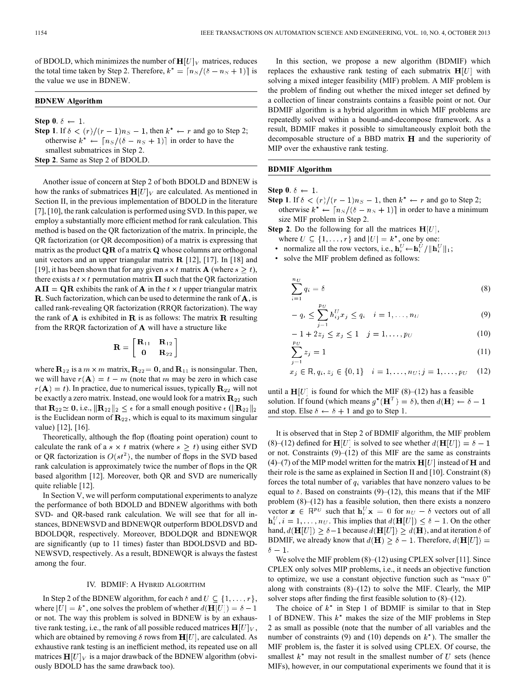of BDOLD, which minimizes the number of  $\mathbf{H}[U]_V$  matrices, reduces the total time taken by Step 2. Therefore,  $k^* = \lceil n_S/(\delta - n_S + 1) \rceil$  is the value we use in BDNEW.

### **BDNEW Algorithm**

**Step 0**.  $\delta \leftarrow 1$ . **Step 1**. If  $\delta < (r)/(r-1)n_S - 1$ , then  $k^* \leftarrow r$  and go to Step 2; otherwise  $k^* \leftarrow \lceil n_S/(\delta - n_S + 1) \rceil$  in order to have the smallest submatrices in Step 2. **Step 2**. Same as Step 2 of BDOLD.

Another issue of concern at Step 2 of both BDOLD and BDNEW is how the ranks of submatrices  $\mathbf{H}[U]_V$  are calculated. As mentioned in Section II, in the previous implementation of BDOLD in the literature [7], [10], the rank calculation is performed using SVD. In this paper, we employ a substantially more efficient method for rank calculation. This method is based on the QR factorization of the matrix. In principle, the QR factorization (or QR decomposition) of a matrix is expressing that matrix as the product  $\overline{QR}$  of a matrix  $\overline{Q}$  whose columns are orthogonal unit vectors and an upper triangular matrix  $\mathbf{R}$  [12], [17]. In [18] and [19], it has been shown that for any given  $s \times t$  matrix **A** (where  $s > t$ ), there exists a  $t \times t$  permutation matrix  $\Pi$  such that the QR factorization  $A\Pi = QR$  exhibits the rank of A in the  $t \times t$  upper triangular matrix **R**. Such factorization, which can be used to determine the rank of  $\bf{A}$ , is called rank-revealing QR factorization (RRQR factorization). The way the rank of  $\bf{A}$  is exhibited in  $\bf{R}$  is as follows: The matrix  $\bf{R}$  resulting from the RRQR factorization of  $A$  will have a structure like

$$
\mathbf{R}=\left[ \begin{matrix} \mathbf{R}_{11} & \mathbf{R}_{12} \\ \mathbf{0} & \mathbf{R}_{22} \end{matrix} \right]
$$

where  $\mathbf{R}_{22}$  is a  $m \times m$  matrix,  $\mathbf{R}_{22} = \mathbf{0}$ , and  $\mathbf{R}_{11}$  is nonsingular. Then, we will have  $r(A) = t - m$  (note that m may be zero in which case  $r(\mathbf{A}) = t$ ). In practice, due to numerical issues, typically  $\mathbf{R}_{22}$  will not be exactly a zero matrix. Instead, one would look for a matrix  $\mathbf{R}_{22}$  such that  $\mathbf{R}_{22} \simeq 0$ , i.e.,  $\|\mathbf{R}_{22}\|_2 \leq \epsilon$  for a small enough positive  $\epsilon$  ( $\|\mathbf{R}_{22}\|_2$ is the Euclidean norm of  $\mathbb{R}_{22}$ , which is equal to its maximum singular value) [12], [16].

Theoretically, although the flop (floating point operation) count to calculate the rank of a  $s \times t$  matrix (where  $s \geq t$ ) using either SVD or QR factorization is  $O(st^2)$ , the number of flops in the SVD based rank calculation is approximately twice the number of flops in the QR based algorithm [12]. Moreover, both QR and SVD are numerically quite reliable [12].

In Section V, we will perform computational experiments to analyze the performance of both BDOLD and BDNEW algorithms with both SVD- and QR-based rank calculation. We will see that for all instances, BDNEWSVD and BDNEWQR outperform BDOLDSVD and BDOLDQR, respectively. Moreover, BDOLDQR and BDNEWQR are significantly (up to 11 times) faster than BDOLDSVD and BD-NEWSVD, respectively. As a result, BDNEWQR is always the fastest among the four.

#### IV. BDMIF: A HYBRID ALGORITHM

In Step 2 of the BDNEW algorithm, for each  $\delta$  and  $U \subseteq \{1, \ldots, r\}$ , where  $|U| = k^*$ , one solves the problem of whether  $d(\mathbf{H}[U]) = \delta - 1$ or not. The way this problem is solved in BDNEW is by an exhaustive rank testing, i.e., the rank of all possible reduced matrices  $\mathbf{H}[U]_V$ , which are obtained by removing  $\delta$  rows from  $H[U]$ , are calculated. As exhaustive rank testing is an inefficient method, its repeated use on all matrices  $H[U]_V$  is a major drawback of the BDNEW algorithm (obviously BDOLD has the same drawback too).

In this section, we propose a new algorithm (BDMIF) which replaces the exhaustive rank testing of each submatrix  $H[U]$  with solving a mixed integer feasibility (MIF) problem. A MIF problem is the problem of finding out whether the mixed integer set defined by a collection of linear constraints contains a feasible point or not. Our BDMIF algorithm is a hybrid algorithm in which MIF problems are repeatedly solved within a bound-and-decompose framework. As a result, BDMIF makes it possible to simultaneously exploit both the decomposable structure of a BBD matrix  $H$  and the superiority of MIP over the exhaustive rank testing.

## **BDMIF Algorithm**

**Step 0.**  $\delta \leftarrow 1$ .

**Step 1**. If  $\delta < (r)/(r-1)n_s - 1$ , then  $k^* \leftarrow r$  and go to Step 2; otherwise  $k^* \leftarrow \lceil n_S/(\delta - n_S + 1) \rceil$  in order to have a minimum size MIF problem in Step 2.

**Step 2**. Do the following for all the matrices  $H[U]$ ,

- where  $U \subseteq \{1, \ldots, r\}$  and  $|U| = k^*$ , one by one:
- normalize all the row vectors, i.e.,  $\mathbf{h}_i^U \leftarrow \mathbf{h}_i^U / ||\mathbf{h}_i^U||_1$ ;
- solve the MIF problem defined as follows:

$$
\sum_{i=1}^{n_U} q_i = \delta \tag{8}
$$

$$
-q_i \le \sum_{i=1}^{p_U} h_{ij}^U x_j \le q_i \quad i=1,\ldots,n_U
$$
\n(9)

$$
-1 + 2z_j \le x_j \le 1 \quad j = 1, ..., pv
$$
 (10)

$$
\sum_{j=1}^{P} z_j = 1\tag{11}
$$

$$
x_j \in \mathbb{R}, q_i, z_j \in \{0, 1\} \quad i = 1, \dots, n_U; j = 1, \dots, p_U \quad (12)
$$

until a  $\mathbf{H}[U]$  is found for which the MIF (8)–(12) has a feasible solution. If found (which means  $g^*(\mathbf{H}^T) = \delta$ ), then  $d(\mathbf{H}) \leftarrow \delta - 1$ and stop. Else  $\delta \leftarrow \delta + 1$  and go to Step 1.

It is observed that in Step 2 of BDMIF algorithm, the MIF problem (8)–(12) defined for  $\mathbf{H}[U]$  is solved to see whether  $d(\mathbf{H}[U]) = \delta - 1$ or not. Constraints  $(9)$ – $(12)$  of this MIF are the same as constraints (4)–(7) of the MIP model written for the matrix  $H[U]$  instead of H and their role is the same as explained in Section II and [10]. Constraint (8) forces the total number of  $q_i$  variables that have nonzero values to be equal to  $\delta$ . Based on constraints (9)–(12), this means that if the MIF problem  $(8)$ – $(12)$  has a feasible solution, then there exists a nonzero vector  $\mathbf{x} \in \mathbb{R}^{p_U}$  such that  $\mathbf{h}_i^U \mathbf{x} = 0$  for  $n_U - \delta$  vectors out of all  $\mathbf{h}_{i}^{U}, i = 1, \ldots, n_{U}$ . This implies that  $d(\mathbf{H}[U]) \leq \delta - 1$ . On the other hand,  $d(\mathbf{H}[U]) \geq \delta - 1$  because  $d(\mathbf{H}[U]) \geq d(\mathbf{H})$ , and at iteration  $\delta$  of BDMIF, we already know that  $d(\mathbf{H}) \geq \delta - 1$ . Therefore,  $d(\mathbf{H}[U]) =$  $\delta - 1$ 

We solve the MIF problem (8)–(12) using CPLEX solver [11]. Since CPLEX only solves MIP problems, i.e., it needs an objective function to optimize, we use a constant objective function such as " $\max$  0" along with constraints  $(8)$ – $(12)$  to solve the MIF. Clearly, the MIP solver stops after finding the first feasible solution to  $(8)$ – $(12)$ .

The choice of  $k^*$  in Step 1 of BDMIF is similar to that in Step 1 of BDNEW. This  $k^*$  makes the size of the MIF problems in Step 2 as small as possible (note that the number of all variables and the number of constraints (9) and (10) depends on  $k^*$ ). The smaller the MIF problem is, the faster it is solved using CPLEX. Of course, the smallest  $k^*$  may not result in the smallest number of U sets (hence MIFs), however, in our computational experiments we found that it is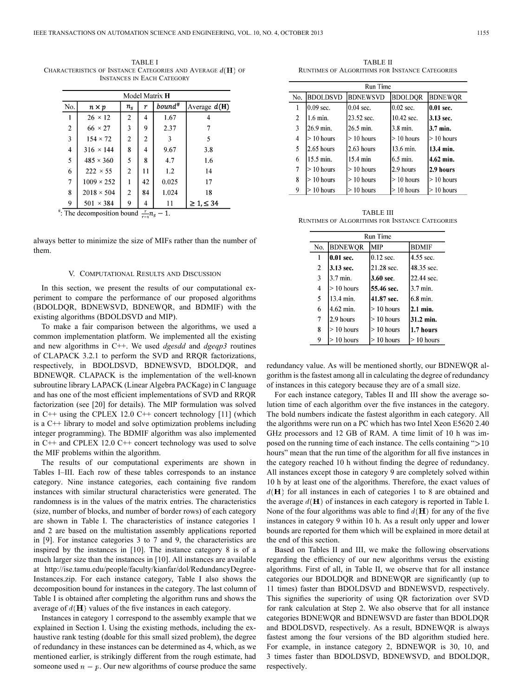TABLE I CHARACTERISTICS OF INSTANCE CATEGORIES AND AVERAGE  $d(\mathbf{H})$  Of INSTANCES IN EACH CATEGORY

| Model Matrix <b>H</b> |                                                                 |                |                |           |                   |  |  |
|-----------------------|-----------------------------------------------------------------|----------------|----------------|-----------|-------------------|--|--|
| No.                   | $n \times p$                                                    | $n_{\rm s}$    | r              | $bound^*$ | Average $d(H)$    |  |  |
| 1                     | $26 \times 12$                                                  | $\overline{2}$ | 4              | 1.67      | 4                 |  |  |
| $\overline{2}$        | $66 \times 27$                                                  | $\overline{3}$ | 9              | 2.37      |                   |  |  |
| 3                     | $154 \times 72$                                                 | $\overline{2}$ | $\overline{c}$ | 3         | 5                 |  |  |
| $\overline{4}$        | $316 \times 144$                                                | 8              | 4              | 9.67      | 3.8               |  |  |
| 5                     | $485 \times 360$                                                | 5              | 8              | 4.7       | 1.6               |  |  |
| 6                     | $222 \times 55$                                                 | $\overline{2}$ | 11             | 1.2       | 14                |  |  |
| 7                     | $1009 \times 252$                                               |                | 42             | 0.025     | 17                |  |  |
| 8                     | $2018 \times 504$                                               | $\overline{c}$ | 84             | 1.024     | 18                |  |  |
| 9                     | $501 \times 384$                                                | 9              | 4              | 11        | $\geq 1, \leq 34$ |  |  |
|                       | <sup>#</sup> : The decomposition bound $\frac{r}{r-1}n_s - 1$ . |                |                |           |                   |  |  |

always better to minimize the size of MIFs rather than the number of them.

#### V. COMPUTATIONAL RESULTS AND DISCUSSION

In this section, we present the results of our computational experiment to compare the performance of our proposed algorithms (BDOLDQR, BDNEWSVD, BDNEWQR, and BDMIF) with the existing algorithms (BDOLDSVD and MIP).

To make a fair comparison between the algorithms, we used a common implementation platform. We implemented all the existing and new algorithms in C++. We used *dgesdd* and *dgeqp3* routines of CLAPACK 3.2.1 to perform the SVD and RRQR factorizations, respectively, in BDOLDSVD, BDNEWSVD, BDOLDQR, and BDNEWQR. CLAPACK is the implementation of the well-known subroutine library LAPACK (Linear Algebra PACKage) in C language and has one of the most efficient implementations of SVD and RRQR factorization (see [20] for details). The MIP formulation was solved in C++ using the CPLEX 12.0 C++ concert technology [11] (which is a C++ library to model and solve optimization problems including integer programming). The BDMIF algorithm was also implemented in C++ and CPLEX 12.0 C++ concert technology was used to solve the MIF problems within the algorithm.

The results of our computational experiments are shown in Tables I–III. Each row of these tables corresponds to an instance category. Nine instance categories, each containing five random instances with similar structural characteristics were generated. The randomness is in the values of the matrix entries. The characteristics (size, number of blocks, and number of border rows) of each category are shown in Table I. The characteristics of instance categories 1 and 2 are based on the multistation assembly applications reported in [9]. For instance categories 3 to 7 and 9, the characteristics are inspired by the instances in [10]. The instance category 8 is of a much larger size than the instances in [10]. All instances are available at http://ise.tamu.edu/people/faculty/kianfar/dol/RedundancyDegree-Instances.zip. For each instance category, Table I also shows the decomposition bound for instances in the category. The last column of Table I is obtained after completing the algorithm runs and shows the average of  $d(\mathbf{H})$  values of the five instances in each category.

Instances in category 1 correspond to the assembly example that we explained in Section I. Using the existing methods, including the exhaustive rank testing (doable for this small sized problem), the degree of redundancy in these instances can be determined as 4, which, as we mentioned earlier, is strikingly different from the rough estimate, had someone used  $n - p$ . Our new algorithms of course produce the same

TABLE II RUNTIMES OF ALGORITHMS FOR INSTANCE CATEGORIES

| <b>Run Time</b> |                 |                 |                |                 |  |  |  |
|-----------------|-----------------|-----------------|----------------|-----------------|--|--|--|
| No.             | <b>BDOLDSVD</b> | <b>BDNEWSVD</b> | <b>BDOLDOR</b> | <b>BDNEWQR</b>  |  |  |  |
|                 | $0.09$ sec.     | $0.04$ sec.     | $0.02$ sec.    | 10.01 sec.      |  |  |  |
| 2               | 1.6 min.        | 23.52 sec.      | 10.42 sec.     | 13.13 sec.      |  |  |  |
| 3               | 26.9 min.       | 26.5 min.       | 3.8 min.       | 3.7 min.        |  |  |  |
| 4               | $>10$ hours     | $>10$ hours     | $> 10$ hours   | > 10 hours      |  |  |  |
| 5               | $2.65$ hours    | $2.63$ hours    | 13.6 min.      | 13.4 min.       |  |  |  |
| 6               | 15.5 min.       | 15.4 min        | 6.5 min.       | 4.62 min.       |  |  |  |
| 7               | $>10$ hours     | $>10$ hours     | 2.9 hours      | 2.9 hours       |  |  |  |
| 8               | $>10$ hours     | $>10$ hours     | $> 10$ hours   | $>10$ hours     |  |  |  |
| 9               | 10 hours        | $> 10$ hours    | $> 10$ hours   | $\geq 10$ hours |  |  |  |

TABLE III RUNTIMES OF ALGORITHMS FOR INSTANCE CATEGORIES

| Run Time       |                |              |              |  |  |  |
|----------------|----------------|--------------|--------------|--|--|--|
| No.            | <b>BDNEWOR</b> | <b>MIP</b>   | <b>BDMIF</b> |  |  |  |
|                | $0.01$ sec.    | $0.12$ sec.  | 4.55 sec.    |  |  |  |
| $\overline{2}$ | 3.13 sec.      | 21.28 sec.   | 48.35 sec.   |  |  |  |
| 3              | 3.7 min.       | 3.60 sec.    | 22.44 sec.   |  |  |  |
| 4              | $> 10$ hours   | 55.46 sec.   | 3.7 min.     |  |  |  |
| 5              | 13.4 min.      | 41.87 sec.   | 16.8 min.    |  |  |  |
| 6              | 4.62 min.      | $> 10$ hours | 2.1 min.     |  |  |  |
| 7              | 2.9 hours      | $>10$ hours  | 131.2 min.   |  |  |  |
| 8              | $> 10$ hours   | $> 10$ hours | 1.7 hours    |  |  |  |
| 9              | $> 10$ hours   | $>10$ hours  | $>10$ hours  |  |  |  |

redundancy value. As will be mentioned shortly, our BDNEWQR algorithm is the fastest among all in calculating the degree of redundancy of instances in this category because they are of a small size.

For each instance category, Tables II and III show the average solution time of each algorithm over the five instances in the category. The bold numbers indicate the fastest algorithm in each category. All the algorithms were run on a PC which has two Intel Xeon E5620 2.40 GHz processors and 12 GB of RAM. A time limit of 10 h was imposed on the running time of each instance. The cells containing " $>10$ " hours" mean that the run time of the algorithm for all five instances in the category reached 10 h without finding the degree of redundancy. All instances except those in category 9 are completely solved within 10 h by at least one of the algorithms. Therefore, the exact values of  $d(H)$  for all instances in each of categories 1 to 8 are obtained and the average  $d(\mathbf{H})$  of instances in each category is reported in Table I. None of the four algorithms was able to find  $d(\mathbf{H})$  for any of the five instances in category 9 within 10 h. As a result only upper and lower bounds are reported for them which will be explained in more detail at the end of this section.

Based on Tables II and III, we make the following observations regarding the efficiency of our new algorithms versus the existing algorithms. First of all, in Table II, we observe that for all instance categories our BDOLDQR and BDNEWQR are significantly (up to 11 times) faster than BDOLDSVD and BDNEWSVD, respectively. This signifies the superiority of using QR factorization over SVD for rank calculation at Step 2. We also observe that for all instance categories BDNEWQR and BDNEWSVD are faster than BDOLDQR and BDOLDSVD, respectively. As a result, BDNEWQR is always fastest among the four versions of the BD algorithm studied here. For example, in instance category 2, BDNEWQR is 30, 10, and 3 times faster than BDOLDSVD, BDNEWSVD, and BDOLDQR, respectively.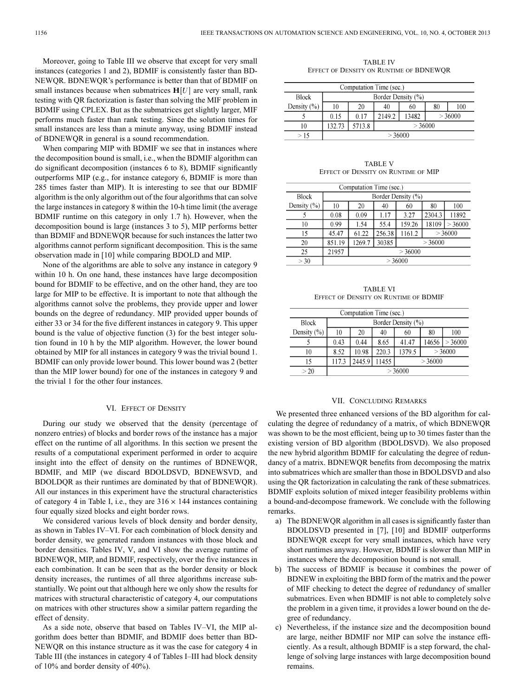Moreover, going to Table III we observe that except for very small instances (categories 1 and 2), BDMIF is consistently faster than BD-NEWQR. BDNEWQR's performance is better than that of BDMIF on small instances because when submatrices  $H[U]$  are very small, rank testing with QR factorization is faster than solving the MIF problem in BDMIF using CPLEX. But as the submatrices get slightly larger, MIF performs much faster than rank testing. Since the solution times for small instances are less than a minute anyway, using BDMIF instead of BDNEWQR in general is a sound recommendation.

When comparing MIP with BDMIF we see that in instances where the decomposition bound is small, i.e., when the BDMIF algorithm can do significant decomposition (instances 6 to 8), BDMIF significantly outperforms MIP (e.g., for instance category 6, BDMIF is more than 285 times faster than MIP). It is interesting to see that our BDMIF algorithm is the only algorithm out of the four algorithms that can solve the large instances in category 8 within the 10-h time limit (the average BDMIF runtime on this category in only 1.7 h). However, when the decomposition bound is large (instances 3 to 5), MIP performs better than BDMIF and BDNEWQR because for such instances the latter two algorithms cannot perform significant decomposition. This is the same observation made in [10] while comparing BDOLD and MIP.

None of the algorithms are able to solve any instance in category 9 within 10 h. On one hand, these instances have large decomposition bound for BDMIF to be effective, and on the other hand, they are too large for MIP to be effective. It is important to note that although the algorithms cannot solve the problems, they provide upper and lower bounds on the degree of redundancy. MIP provided upper bounds of either 33 or 34 for the five different instances in category 9. This upper bound is the value of objective function (3) for the best integer solution found in 10 h by the MIP algorithm. However, the lower bound obtained by MIP for all instances in category 9 was the trivial bound 1. BDMIF can only provide lower bound. This lower bound was 2 (better than the MIP lower bound) for one of the instances in category 9 and the trivial 1 for the other four instances.

# VI. EFFECT OF DENSITY

During our study we observed that the density (percentage of nonzero entries) of blocks and border rows of the instance has a major effect on the runtime of all algorithms. In this section we present the results of a computational experiment performed in order to acquire insight into the effect of density on the runtimes of BDNEWQR, BDMIF, and MIP (we discard BDOLDSVD, BDNEWSVD, and BDOLDQR as their runtimes are dominated by that of BDNEWQR). All our instances in this experiment have the structural characteristics of category 4 in Table I, i.e., they are  $316 \times 144$  instances containing four equally sized blocks and eight border rows.

We considered various levels of block density and border density, as shown in Tables IV–VI. For each combination of block density and border density, we generated random instances with those block and border densities. Tables IV, V, and VI show the average runtime of BDNEWQR, MIP, and BDMIF, respectively, over the five instances in each combination. It can be seen that as the border density or block density increases, the runtimes of all three algorithms increase substantially. We point out that although here we only show the results for matrices with structural characteristic of category 4, our computations on matrices with other structures show a similar pattern regarding the effect of density.

As a side note, observe that based on Tables IV–VI, the MIP algorithm does better than BDMIF, and BDMIF does better than BD-NEWQR on this instance structure as it was the case for category 4 in Table III (the instances in category 4 of Tables I–III had block density of 10% and border density of 40%).

TABLE IV EFFECT OF DENSITY ON RUNTIME OF BDNEWQR

| Computation Time (sec.) |                    |        |                           |    |    |     |  |
|-------------------------|--------------------|--------|---------------------------|----|----|-----|--|
| <b>Block</b>            | Border Density (%) |        |                           |    |    |     |  |
| Density $(\% )$         | 10                 | 20     | 40                        | 60 | 80 | 100 |  |
|                         | 0.15               | 017    | >36000<br>13482<br>2149.2 |    |    |     |  |
| 10                      | 132.73             | 5713.8 | >36000                    |    |    |     |  |
| >15                     | >36000             |        |                           |    |    |     |  |

TARI F V EFFECT OF DENSITY ON RUNTIME OF MIP

| Computation Time (sec.) |                    |                           |        |        |           |        |  |
|-------------------------|--------------------|---------------------------|--------|--------|-----------|--------|--|
| <b>Block</b>            | Border Density (%) |                           |        |        |           |        |  |
| Density $(\% )$         | 10                 | 20                        | 40     | 60     | 100<br>80 |        |  |
|                         | 0.08               | 0.09                      | 1.17   | 3.27   | 2304.3    | 11892  |  |
| 10                      | 0.99               | 1.54                      | 55.4   | 159.26 | 18109     | >36000 |  |
| 15                      | 45.47              | 61.22                     | 256.38 | 1161.2 | >36000    |        |  |
| 20                      | 851.19             | 30385<br>>36000<br>1269.7 |        |        |           |        |  |
| 25                      | 21957              | >36000                    |        |        |           |        |  |
| >30                     | >36000             |                           |        |        |           |        |  |

TABLE VI EFFECT OF DENSITY ON RUNTIME OF BDMIF

| Computation Time (sec.) |                    |        |       |        |        |        |  |  |
|-------------------------|--------------------|--------|-------|--------|--------|--------|--|--|
| <b>Block</b>            | Border Density (%) |        |       |        |        |        |  |  |
| Density $(\% )$         | 10                 | 20     | 40    | 60     | 80     | 100    |  |  |
|                         | 0.43               | 0.44   | 8.65  | 41.47  | 14656  | >36000 |  |  |
| 10                      | 8.52               | 10.98  | 220.3 | 1379.5 | >36000 |        |  |  |
| 15                      | 117.3              | 2445.9 | 11455 | >36000 |        |        |  |  |
| >20                     | >36000             |        |       |        |        |        |  |  |

#### VII. CONCLUDING REMARKS

We presented three enhanced versions of the BD algorithm for calculating the degree of redundancy of a matrix, of which BDNEWQR was shown to be the most efficient, being up to 30 times faster than the existing version of BD algorithm (BDOLDSVD). We also proposed the new hybrid algorithm BDMIF for calculating the degree of redundancy of a matrix. BDNEWQR benefits from decomposing the matrix into submatrices which are smaller than those in BDOLDSVD and also using the QR factorization in calculating the rank of these submatrices. BDMIF exploits solution of mixed integer feasibility problems within a bound-and-decompose framework. We conclude with the following remarks.

- a) The BDNEWQR algorithm in all cases is significantly faster than BDOLDSVD presented in [7], [10] and BDMIF outperforms BDNEWQR except for very small instances, which have very short runtimes anyway. However, BDMIF is slower than MIP in instances where the decomposition bound is not small.
- b) The success of BDMIF is because it combines the power of BDNEW in exploiting the BBD form of the matrix and the power of MIF checking to detect the degree of redundancy of smaller submatrices. Even when BDMIF is not able to completely solve the problem in a given time, it provides a lower bound on the degree of redundancy.
- c) Nevertheless, if the instance size and the decomposition bound are large, neither BDMIF nor MIP can solve the instance efficiently. As a result, although BDMIF is a step forward, the challenge of solving large instances with large decomposition bound remains.